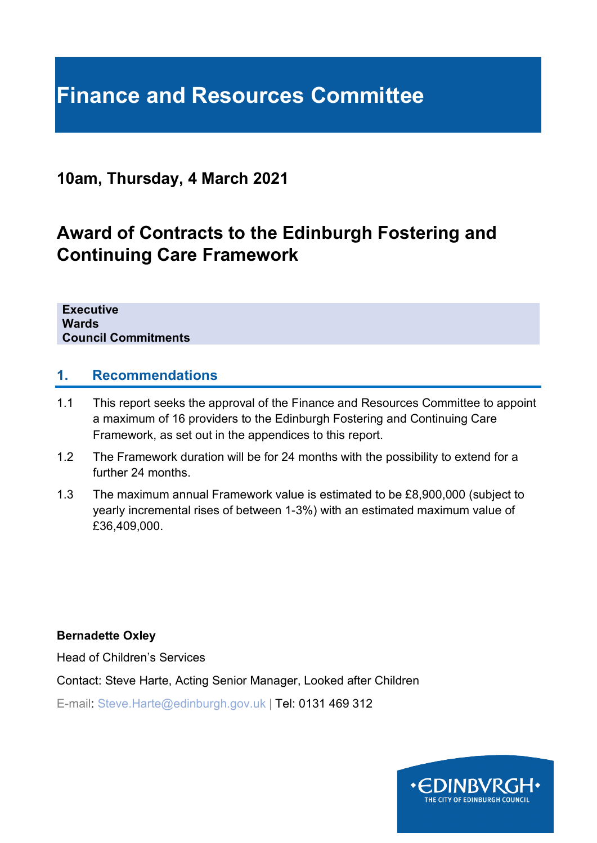# **Finance and Resources Committee**

### **10am, Thursday, 4 March 2021**

## **Award of Contracts to the Edinburgh Fostering and Continuing Care Framework**

**Executive Wards Council Commitments**

#### **1. Recommendations**

- 1.1 This report seeks the approval of the Finance and Resources Committee to appoint a maximum of 16 providers to the Edinburgh Fostering and Continuing Care Framework, as set out in the appendices to this report.
- 1.2 The Framework duration will be for 24 months with the possibility to extend for a further 24 months.
- 1.3 The maximum annual Framework value is estimated to be £8,900,000 (subject to yearly incremental rises of between 1-3%) with an estimated maximum value of £36,409,000.

**Bernadette Oxley**

Head of Children's Services

Contact: Steve Harte, Acting Senior Manager, Looked after Children

E-mail: Steve.Harte@edinburgh.gov.uk | Tel: 0131 469 312

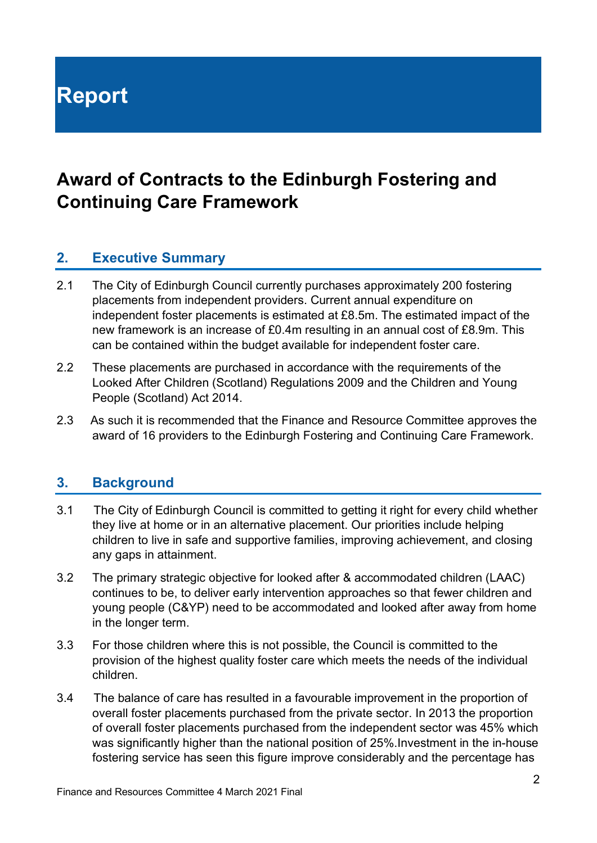# **Report**

## **Award of Contracts to the Edinburgh Fostering and Continuing Care Framework**

#### **2. Executive Summary**

- 2.1 The City of Edinburgh Council currently purchases approximately 200 fostering placements from independent providers. Current annual expenditure on independent foster placements is estimated at £8.5m. The estimated impact of the new framework is an increase of £0.4m resulting in an annual cost of £8.9m. This can be contained within the budget available for independent foster care.
- 2.2 These placements are purchased in accordance with the requirements of the Looked After Children (Scotland) Regulations 2009 and the Children and Young People (Scotland) Act 2014.
- 2.3 As such it is recommended that the Finance and Resource Committee approves the award of 16 providers to the Edinburgh Fostering and Continuing Care Framework.

#### **3. Background**

- 3.1 The City of Edinburgh Council is committed to getting it right for every child whether they live at home or in an alternative placement. Our priorities include helping children to live in safe and supportive families, improving achievement, and closing any gaps in attainment.
- 3.2 The primary strategic objective for looked after & accommodated children (LAAC) continues to be, to deliver early intervention approaches so that fewer children and young people (C&YP) need to be accommodated and looked after away from home in the longer term.
- 3.3 For those children where this is not possible, the Council is committed to the provision of the highest quality foster care which meets the needs of the individual children.
- 3.4 The balance of care has resulted in a favourable improvement in the proportion of overall foster placements purchased from the private sector. In 2013 the proportion of overall foster placements purchased from the independent sector was 45% which was significantly higher than the national position of 25%.Investment in the in-house fostering service has seen this figure improve considerably and the percentage has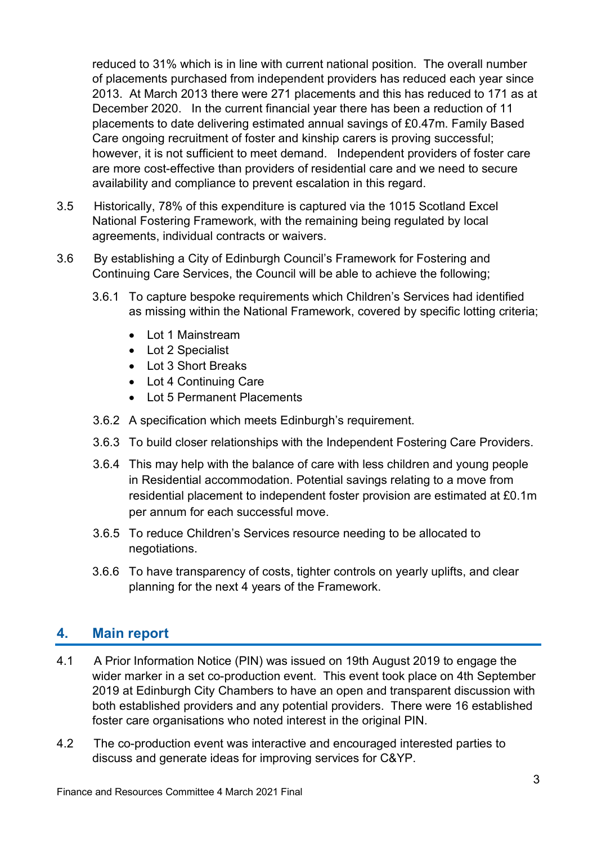reduced to 31% which is in line with current national position. The overall number of placements purchased from independent providers has reduced each year since 2013. At March 2013 there were 271 placements and this has reduced to 171 as at December 2020. In the current financial year there has been a reduction of 11 placements to date delivering estimated annual savings of £0.47m. Family Based Care ongoing recruitment of foster and kinship carers is proving successful; however, it is not sufficient to meet demand. Independent providers of foster care are more cost-effective than providers of residential care and we need to secure availability and compliance to prevent escalation in this regard.

- 3.5 Historically, 78% of this expenditure is captured via the 1015 Scotland Excel National Fostering Framework, with the remaining being regulated by local agreements, individual contracts or waivers.
- 3.6 By establishing a City of Edinburgh Council's Framework for Fostering and Continuing Care Services, the Council will be able to achieve the following;
	- 3.6.1 To capture bespoke requirements which Children's Services had identified as missing within the National Framework, covered by specific lotting criteria;
		- Lot 1 Mainstream
		- Lot 2 Specialist
		- Lot 3 Short Breaks
		- Lot 4 Continuing Care
		- Lot 5 Permanent Placements
	- 3.6.2 A specification which meets Edinburgh's requirement.
	- 3.6.3 To build closer relationships with the Independent Fostering Care Providers.
	- 3.6.4 This may help with the balance of care with less children and young people in Residential accommodation. Potential savings relating to a move from residential placement to independent foster provision are estimated at £0.1m per annum for each successful move.
	- 3.6.5 To reduce Children's Services resource needing to be allocated to negotiations.
	- 3.6.6 To have transparency of costs, tighter controls on yearly uplifts, and clear planning for the next 4 years of the Framework.

#### **4. Main report**

- 4.1 A Prior Information Notice (PIN) was issued on 19th August 2019 to engage the wider marker in a set co-production event. This event took place on 4th September 2019 at Edinburgh City Chambers to have an open and transparent discussion with both established providers and any potential providers. There were 16 established foster care organisations who noted interest in the original PIN.
- 4.2 The co-production event was interactive and encouraged interested parties to discuss and generate ideas for improving services for C&YP.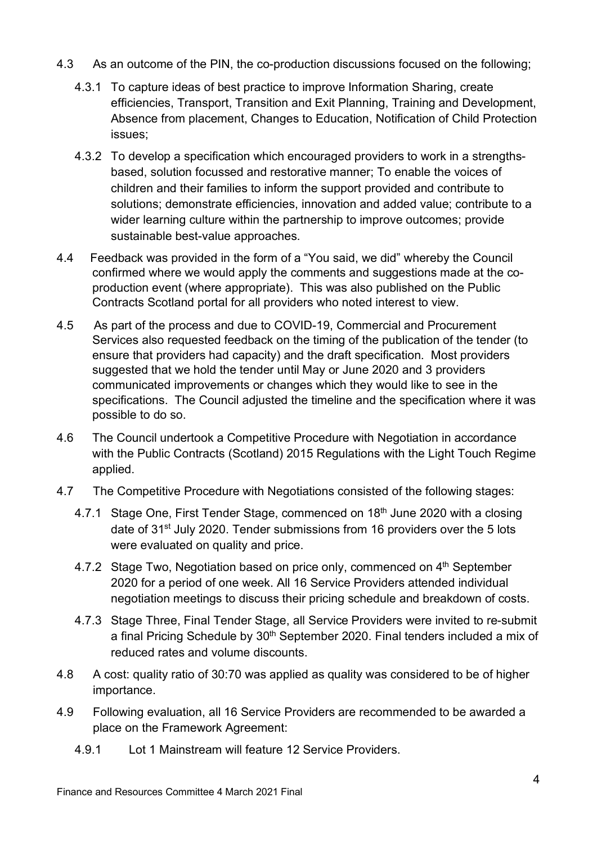- 4.3 As an outcome of the PIN, the co-production discussions focused on the following;
	- 4.3.1 To capture ideas of best practice to improve Information Sharing, create efficiencies, Transport, Transition and Exit Planning, Training and Development, Absence from placement, Changes to Education, Notification of Child Protection issues;
	- 4.3.2 To develop a specification which encouraged providers to work in a strengthsbased, solution focussed and restorative manner; To enable the voices of children and their families to inform the support provided and contribute to solutions; demonstrate efficiencies, innovation and added value; contribute to a wider learning culture within the partnership to improve outcomes; provide sustainable best-value approaches.
- 4.4 Feedback was provided in the form of a "You said, we did" whereby the Council confirmed where we would apply the comments and suggestions made at the coproduction event (where appropriate). This was also published on the Public Contracts Scotland portal for all providers who noted interest to view.
- 4.5 As part of the process and due to COVID-19, Commercial and Procurement Services also requested feedback on the timing of the publication of the tender (to ensure that providers had capacity) and the draft specification. Most providers suggested that we hold the tender until May or June 2020 and 3 providers communicated improvements or changes which they would like to see in the specifications. The Council adjusted the timeline and the specification where it was possible to do so.
- 4.6 The Council undertook a Competitive Procedure with Negotiation in accordance with the Public Contracts (Scotland) 2015 Regulations with the Light Touch Regime applied.
- 4.7 The Competitive Procedure with Negotiations consisted of the following stages:
	- 4.7.1 Stage One, First Tender Stage, commenced on 18<sup>th</sup> June 2020 with a closing date of 31<sup>st</sup> July 2020. Tender submissions from 16 providers over the 5 lots were evaluated on quality and price.
	- 4.7.2 Stage Two, Negotiation based on price only, commenced on 4<sup>th</sup> September 2020 for a period of one week. All 16 Service Providers attended individual negotiation meetings to discuss their pricing schedule and breakdown of costs.
	- 4.7.3 Stage Three, Final Tender Stage, all Service Providers were invited to re-submit a final Pricing Schedule by 30<sup>th</sup> September 2020. Final tenders included a mix of reduced rates and volume discounts.
- 4.8 A cost: quality ratio of 30:70 was applied as quality was considered to be of higher importance.
- 4.9 Following evaluation, all 16 Service Providers are recommended to be awarded a place on the Framework Agreement:
	- 4.9.1 Lot 1 Mainstream will feature 12 Service Providers.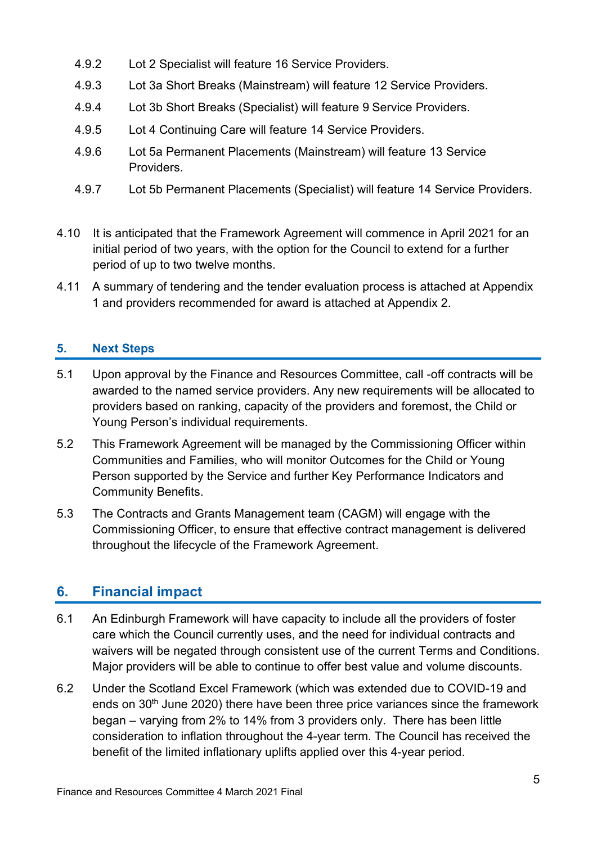- 4.9.2 Lot 2 Specialist will feature 16 Service Providers.
- 4.9.3 Lot 3a Short Breaks (Mainstream) will feature 12 Service Providers.
- 4.9.4 Lot 3b Short Breaks (Specialist) will feature 9 Service Providers.
- 4.9.5 Lot 4 Continuing Care will feature 14 Service Providers.
- 4.9.6 Lot 5a Permanent Placements (Mainstream) will feature 13 Service Providers.
- 4.9.7 Lot 5b Permanent Placements (Specialist) will feature 14 Service Providers.
- 4.10 It is anticipated that the Framework Agreement will commence in April 2021 for an initial period of two years, with the option for the Council to extend for a further period of up to two twelve months.
- 4.11 A summary of tendering and the tender evaluation process is attached at Appendix 1 and providers recommended for award is attached at Appendix 2.

#### **5. Next Steps**

- 5.1 Upon approval by the Finance and Resources Committee, call -off contracts will be awarded to the named service providers. Any new requirements will be allocated to providers based on ranking, capacity of the providers and foremost, the Child or Young Person's individual requirements.
- 5.2 This Framework Agreement will be managed by the Commissioning Officer within Communities and Families, who will monitor Outcomes for the Child or Young Person supported by the Service and further Key Performance Indicators and Community Benefits.
- 5.3 The Contracts and Grants Management team (CAGM) will engage with the Commissioning Officer, to ensure that effective contract management is delivered throughout the lifecycle of the Framework Agreement.

#### **6. Financial impact**

- 6.1 An Edinburgh Framework will have capacity to include all the providers of foster care which the Council currently uses, and the need for individual contracts and waivers will be negated through consistent use of the current Terms and Conditions. Major providers will be able to continue to offer best value and volume discounts.
- 6.2 Under the Scotland Excel Framework (which was extended due to COVID-19 and ends on  $30<sup>th</sup>$  June 2020) there have been three price variances since the framework began – varying from 2% to 14% from 3 providers only. There has been little consideration to inflation throughout the 4-year term. The Council has received the benefit of the limited inflationary uplifts applied over this 4-year period.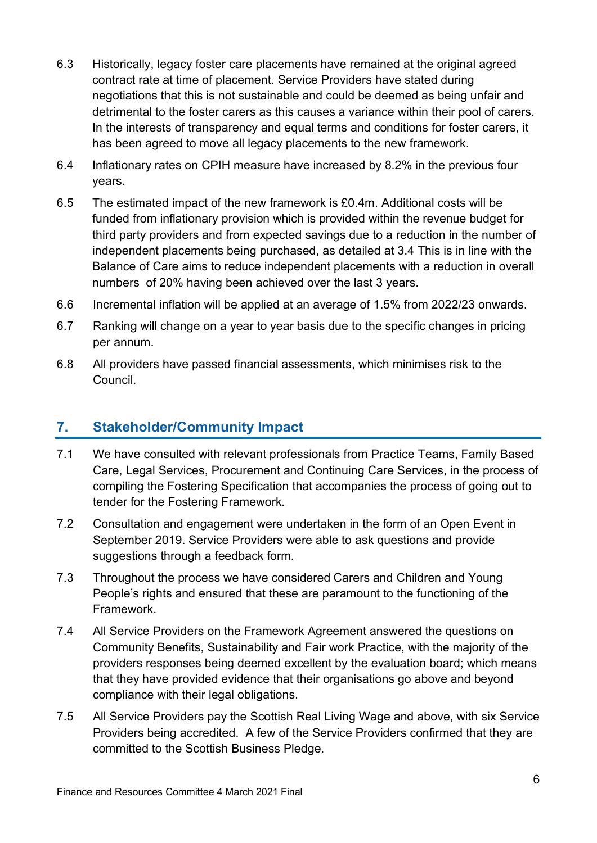- 6.3 Historically, legacy foster care placements have remained at the original agreed contract rate at time of placement. Service Providers have stated during negotiations that this is not sustainable and could be deemed as being unfair and detrimental to the foster carers as this causes a variance within their pool of carers. In the interests of transparency and equal terms and conditions for foster carers, it has been agreed to move all legacy placements to the new framework.
- 6.4 Inflationary rates on CPIH measure have increased by 8.2% in the previous four years.
- 6.5 The estimated impact of the new framework is £0.4m. Additional costs will be funded from inflationary provision which is provided within the revenue budget for third party providers and from expected savings due to a reduction in the number of independent placements being purchased, as detailed at 3.4 This is in line with the Balance of Care aims to reduce independent placements with a reduction in overall numbers of 20% having been achieved over the last 3 years.
- 6.6 Incremental inflation will be applied at an average of 1.5% from 2022/23 onwards.
- 6.7 Ranking will change on a year to year basis due to the specific changes in pricing per annum.
- 6.8 All providers have passed financial assessments, which minimises risk to the Council.

#### **7. Stakeholder/Community Impact**

- 7.1 We have consulted with relevant professionals from Practice Teams, Family Based Care, Legal Services, Procurement and Continuing Care Services, in the process of compiling the Fostering Specification that accompanies the process of going out to tender for the Fostering Framework.
- 7.2 Consultation and engagement were undertaken in the form of an Open Event in September 2019. Service Providers were able to ask questions and provide suggestions through a feedback form.
- 7.3 Throughout the process we have considered Carers and Children and Young People's rights and ensured that these are paramount to the functioning of the Framework.
- 7.4 All Service Providers on the Framework Agreement answered the questions on Community Benefits, Sustainability and Fair work Practice, with the majority of the providers responses being deemed excellent by the evaluation board; which means that they have provided evidence that their organisations go above and beyond compliance with their legal obligations.
- 7.5 All Service Providers pay the Scottish Real Living Wage and above, with six Service Providers being accredited. A few of the Service Providers confirmed that they are committed to the Scottish Business Pledge.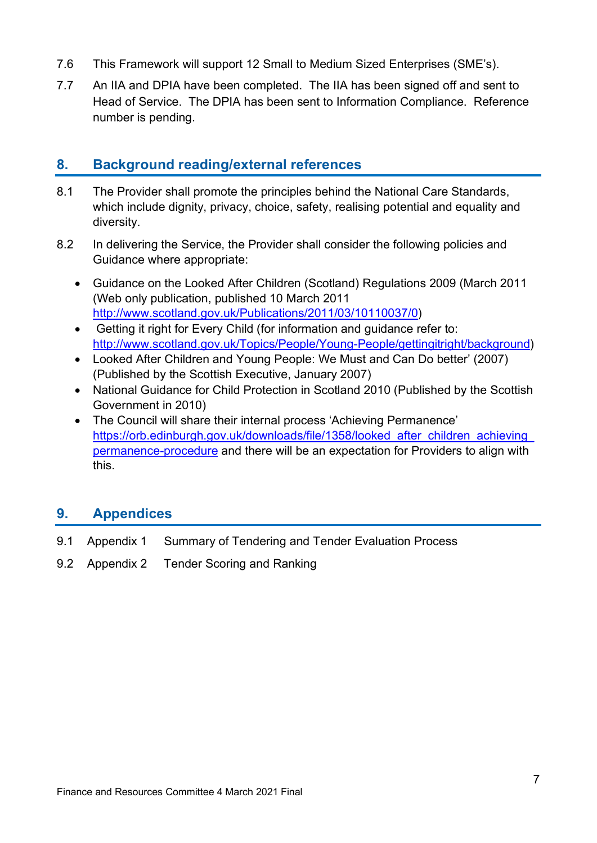- 7.6 This Framework will support 12 Small to Medium Sized Enterprises (SME's).
- 7.7 An IIA and DPIA have been completed. The IIA has been signed off and sent to Head of Service. The DPIA has been sent to Information Compliance. Reference number is pending.

#### **8. Background reading/external references**

- 8.1 The Provider shall promote the principles behind the National Care Standards, which include dignity, privacy, choice, safety, realising potential and equality and diversity.
- 8.2 In delivering the Service, the Provider shall consider the following policies and Guidance where appropriate:
	- Guidance on the Looked After Children (Scotland) Regulations 2009 (March 2011 (Web only publication, published 10 March 2011 [http://www.scotland.gov.uk/Publications/2011/03/10110037/0\)](http://www.scotland.gov.uk/Publications/2011/03/10110037/0)
	- Getting it right for Every Child (for information and guidance refer to: [http://www.scotland.gov.uk/Topics/People/Young-People/gettingitright/background\)](http://www.scotland.gov.uk/Topics/People/Young-People/gettingitright/background)
	- Looked After Children and Young People: We Must and Can Do better' (2007) (Published by the Scottish Executive, January 2007)
	- National Guidance for Child Protection in Scotland 2010 (Published by the Scottish Government in 2010)
	- The Council will share their internal process 'Achieving Permanence' [https://orb.edinburgh.gov.uk/downloads/file/1358/looked\\_after\\_children\\_achieving\\_](https://orb.edinburgh.gov.uk/downloads/file/1358/looked_after_children_achieving_permanence-procedure) [permanence-procedure](https://orb.edinburgh.gov.uk/downloads/file/1358/looked_after_children_achieving_permanence-procedure) and there will be an expectation for Providers to align with this.

#### **9. Appendices**

- 9.1 Appendix 1 Summary of Tendering and Tender Evaluation Process
- 9.2 Appendix 2 Tender Scoring and Ranking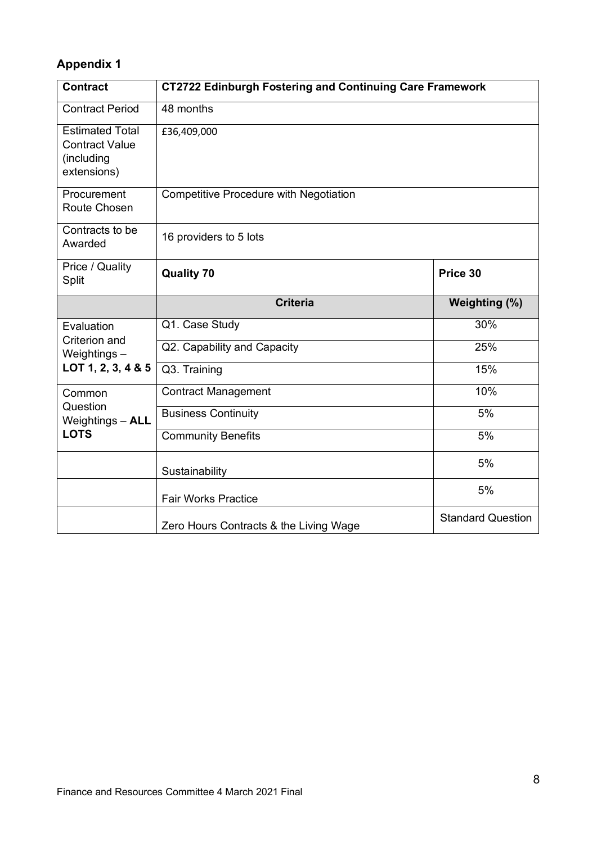### **Appendix 1**

| <b>Contract</b>                                                              | <b>CT2722 Edinburgh Fostering and Continuing Care Framework</b> |                          |  |  |
|------------------------------------------------------------------------------|-----------------------------------------------------------------|--------------------------|--|--|
| <b>Contract Period</b>                                                       | 48 months                                                       |                          |  |  |
| <b>Estimated Total</b><br><b>Contract Value</b><br>(including<br>extensions) | £36,409,000                                                     |                          |  |  |
| Procurement<br>Route Chosen                                                  | <b>Competitive Procedure with Negotiation</b>                   |                          |  |  |
| Contracts to be<br>Awarded                                                   | 16 providers to 5 lots                                          |                          |  |  |
| Price / Quality<br>Split                                                     | <b>Quality 70</b>                                               | Price 30                 |  |  |
|                                                                              | <b>Criteria</b>                                                 | Weighting (%)            |  |  |
| Evaluation                                                                   | Q1. Case Study                                                  | 30%                      |  |  |
| Criterion and<br>Weightings-<br>LOT 1, 2, 3, 4 & 5                           | Q2. Capability and Capacity                                     | 25%                      |  |  |
|                                                                              | Q3. Training                                                    | 15%                      |  |  |
| Common                                                                       | <b>Contract Management</b>                                      | 10%                      |  |  |
| Question<br>Weightings - ALL                                                 | <b>Business Continuity</b>                                      | 5%                       |  |  |
| <b>LOTS</b>                                                                  | <b>Community Benefits</b>                                       | 5%                       |  |  |
|                                                                              | Sustainability                                                  | 5%                       |  |  |
|                                                                              | <b>Fair Works Practice</b>                                      | 5%                       |  |  |
|                                                                              | Zero Hours Contracts & the Living Wage                          | <b>Standard Question</b> |  |  |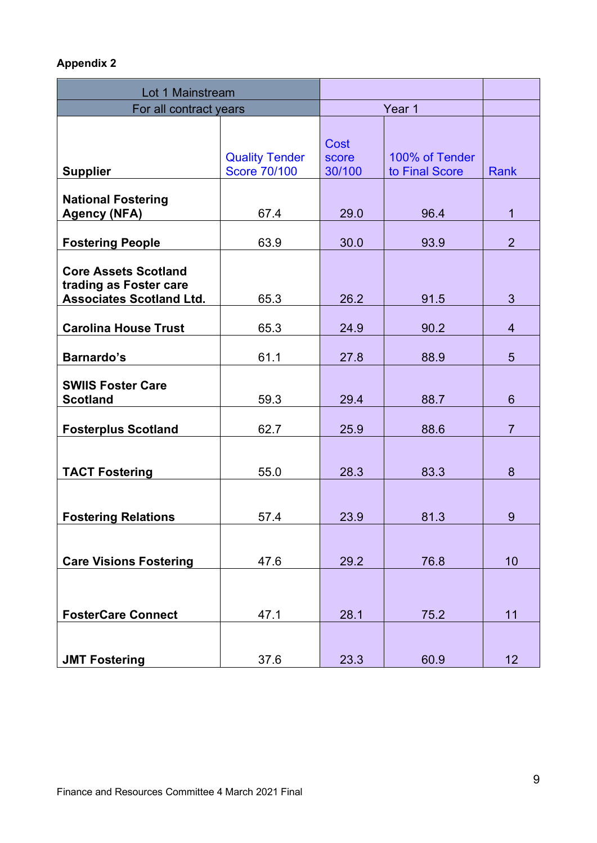#### **Appendix 2**

| Lot 1 Mainstream                                                                         |                                              |                         |                                  |                |
|------------------------------------------------------------------------------------------|----------------------------------------------|-------------------------|----------------------------------|----------------|
| For all contract years                                                                   |                                              | Year 1                  |                                  |                |
| <b>Supplier</b>                                                                          | <b>Quality Tender</b><br><b>Score 70/100</b> | Cost<br>score<br>30/100 | 100% of Tender<br>to Final Score | Rank           |
| <b>National Fostering</b><br><b>Agency (NFA)</b>                                         | 67.4                                         | 29.0                    | 96.4                             | $\mathbf{1}$   |
| <b>Fostering People</b>                                                                  | 63.9                                         | 30.0                    | 93.9                             | $\overline{2}$ |
| <b>Core Assets Scotland</b><br>trading as Foster care<br><b>Associates Scotland Ltd.</b> | 65.3                                         | 26.2                    | 91.5                             | 3              |
| <b>Carolina House Trust</b>                                                              | 65.3                                         | 24.9                    | 90.2                             | $\overline{4}$ |
| <b>Barnardo's</b>                                                                        | 61.1                                         | 27.8                    | 88.9                             | 5              |
| <b>SWIIS Foster Care</b><br><b>Scotland</b>                                              | 59.3                                         | 29.4                    | 88.7                             | $6\phantom{1}$ |
| <b>Fosterplus Scotland</b>                                                               | 62.7                                         | 25.9                    | 88.6                             | $\overline{7}$ |
| <b>TACT Fostering</b>                                                                    | 55.0                                         | 28.3                    | 83.3                             | 8              |
| <b>Fostering Relations</b>                                                               | 57.4                                         | 23.9                    | 81.3                             | 9              |
| <b>Care Visions Fostering</b>                                                            | 47.6                                         | 29.2                    | 76.8                             | 10             |
| <b>FosterCare Connect</b>                                                                | 47.1                                         | 28.1                    | 75.2                             | 11             |
| <b>JMT Fostering</b>                                                                     | 37.6                                         | 23.3                    | 60.9                             | 12             |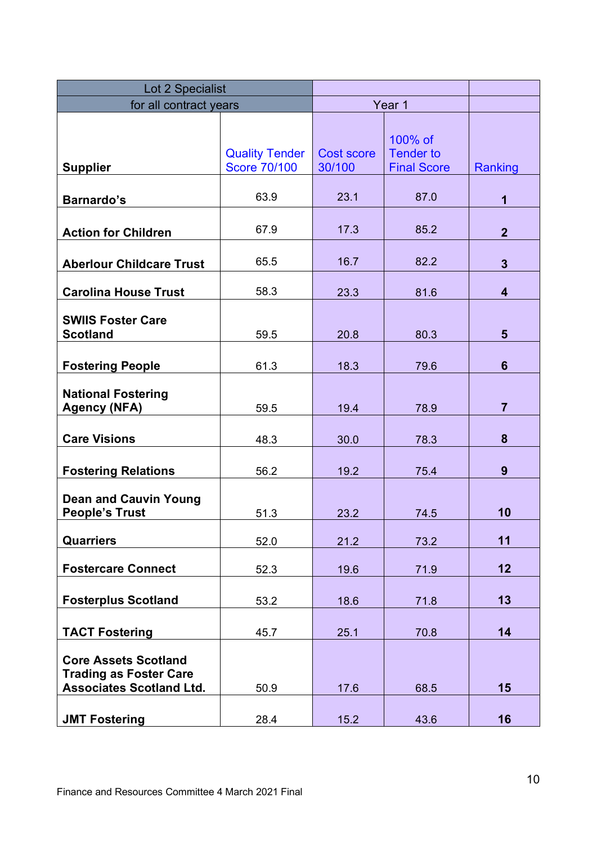| Lot 2 Specialist                                                                                |                                              |                             |                                                   |                         |
|-------------------------------------------------------------------------------------------------|----------------------------------------------|-----------------------------|---------------------------------------------------|-------------------------|
| for all contract years                                                                          |                                              | Year 1                      |                                                   |                         |
| <b>Supplier</b>                                                                                 | <b>Quality Tender</b><br><b>Score 70/100</b> | <b>Cost score</b><br>30/100 | 100% of<br><b>Tender to</b><br><b>Final Score</b> | Ranking                 |
| <b>Barnardo's</b>                                                                               | 63.9                                         | 23.1                        | 87.0                                              | 1                       |
| <b>Action for Children</b>                                                                      | 67.9                                         | 17.3                        | 85.2                                              | $\overline{2}$          |
| <b>Aberlour Childcare Trust</b>                                                                 | 65.5                                         | 16.7                        | 82.2                                              | $\overline{3}$          |
| <b>Carolina House Trust</b>                                                                     | 58.3                                         | 23.3                        | 81.6                                              | $\overline{\mathbf{4}}$ |
| <b>SWIIS Foster Care</b><br><b>Scotland</b>                                                     | 59.5                                         | 20.8                        | 80.3                                              | $5\phantom{1}$          |
| <b>Fostering People</b>                                                                         | 61.3                                         | 18.3                        | 79.6                                              | $6\phantom{1}$          |
| <b>National Fostering</b><br><b>Agency (NFA)</b>                                                | 59.5                                         | 19.4                        | 78.9                                              | $\overline{7}$          |
| <b>Care Visions</b>                                                                             | 48.3                                         | 30.0                        | 78.3                                              | 8                       |
| <b>Fostering Relations</b>                                                                      | 56.2                                         | 19.2                        | 75.4                                              | 9                       |
| <b>Dean and Cauvin Young</b><br><b>People's Trust</b>                                           | 51.3                                         | 23.2                        | 74.5                                              | 10                      |
| <b>Quarriers</b>                                                                                | 52.0                                         | 21.2                        | 73.2                                              | 11                      |
| <b>Fostercare Connect</b>                                                                       | 52.3                                         | 19.6                        | 71.9                                              | 12                      |
| <b>Fosterplus Scotland</b>                                                                      | 53.2                                         | 18.6                        | 71.8                                              | 13                      |
| <b>TACT Fostering</b>                                                                           | 45.7                                         | 25.1                        | 70.8                                              | 14                      |
| <b>Core Assets Scotland</b><br><b>Trading as Foster Care</b><br><b>Associates Scotland Ltd.</b> | 50.9                                         | 17.6                        | 68.5                                              | 15                      |
| <b>JMT Fostering</b>                                                                            | 28.4                                         | 15.2                        | 43.6                                              | 16                      |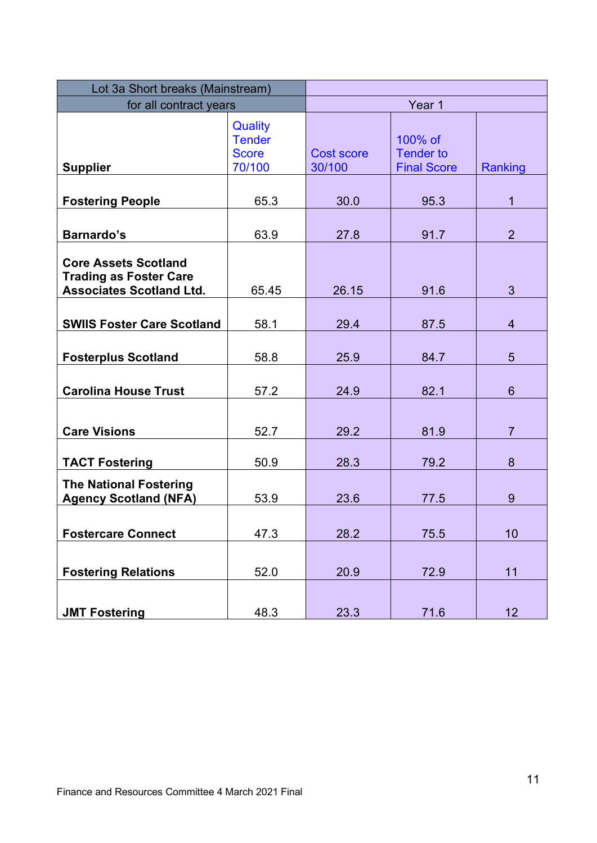| Lot 3a Short breaks (Mainstream)                                                                |                                                    |                             |                                                   |                |
|-------------------------------------------------------------------------------------------------|----------------------------------------------------|-----------------------------|---------------------------------------------------|----------------|
| for all contract years                                                                          | Year 1                                             |                             |                                                   |                |
| <b>Supplier</b>                                                                                 | Quality<br><b>Tender</b><br><b>Score</b><br>70/100 | <b>Cost score</b><br>30/100 | 100% of<br><b>Tender to</b><br><b>Final Score</b> | Ranking        |
| <b>Fostering People</b>                                                                         | 65.3                                               | 30.0                        | 95.3                                              | $\mathbf{1}$   |
| <b>Barnardo's</b>                                                                               | 63.9                                               | 27.8                        | 91.7                                              | $\overline{2}$ |
| <b>Core Assets Scotland</b><br><b>Trading as Foster Care</b><br><b>Associates Scotland Ltd.</b> | 65.45                                              | 26.15                       | 91.6                                              | $\overline{3}$ |
| <b>SWIIS Foster Care Scotland</b>                                                               | 58.1                                               | 29.4                        | 87.5                                              | $\overline{4}$ |
| <b>Fosterplus Scotland</b>                                                                      | 58.8                                               | 25.9                        | 84.7                                              | 5              |
| <b>Carolina House Trust</b>                                                                     | 57.2                                               | 24.9                        | 82.1                                              | $6\phantom{1}$ |
| <b>Care Visions</b>                                                                             | 52.7                                               | 29.2                        | 81.9                                              | $\overline{7}$ |
| <b>TACT Fostering</b>                                                                           | 50.9                                               | 28.3                        | 79.2                                              | 8              |
| <b>The National Fostering</b><br><b>Agency Scotland (NFA)</b>                                   | 53.9                                               | 23.6                        | 77.5                                              | 9              |
| <b>Fostercare Connect</b>                                                                       | 47.3                                               | 28.2                        | 75.5                                              | 10             |
| <b>Fostering Relations</b>                                                                      | 52.0                                               | 20.9                        | 72.9                                              | 11             |
| <b>JMT Fostering</b>                                                                            | 48.3                                               | 23.3                        | 71.6                                              | 12             |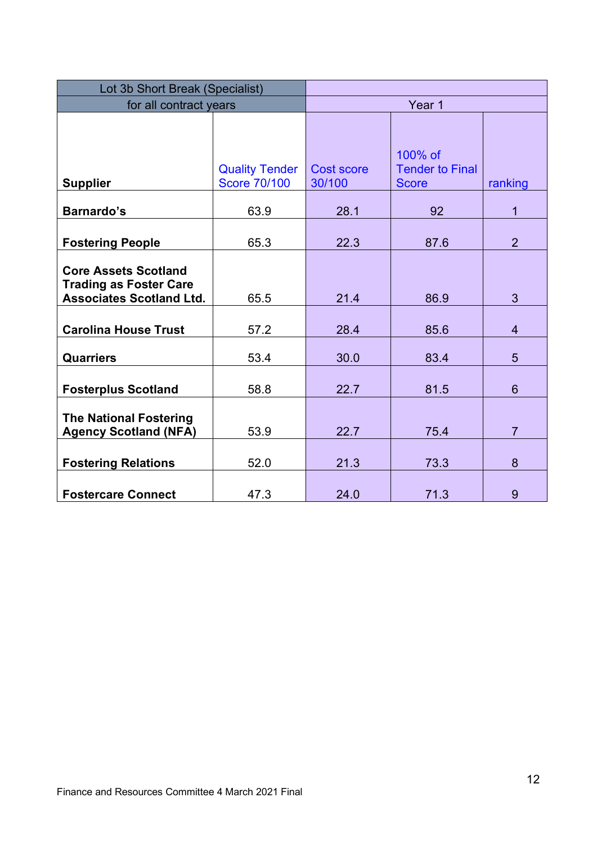| Lot 3b Short Break (Specialist)                                                                 |                                              |                             |                                                   |                |
|-------------------------------------------------------------------------------------------------|----------------------------------------------|-----------------------------|---------------------------------------------------|----------------|
| for all contract years                                                                          | Year 1                                       |                             |                                                   |                |
| <b>Supplier</b>                                                                                 | <b>Quality Tender</b><br><b>Score 70/100</b> | <b>Cost score</b><br>30/100 | 100% of<br><b>Tender to Final</b><br><b>Score</b> | ranking        |
| <b>Barnardo's</b>                                                                               | 63.9                                         | 28.1                        | 92                                                | $\mathbf 1$    |
| <b>Fostering People</b>                                                                         | 65.3                                         | 22.3                        | 87.6                                              | $\overline{2}$ |
| <b>Core Assets Scotland</b><br><b>Trading as Foster Care</b><br><b>Associates Scotland Ltd.</b> | 65.5                                         | 21.4                        | 86.9                                              | 3              |
| <b>Carolina House Trust</b>                                                                     | 57.2                                         | 28.4                        | 85.6                                              | $\overline{4}$ |
| <b>Quarriers</b>                                                                                | 53.4                                         | 30.0                        | 83.4                                              | 5              |
| <b>Fosterplus Scotland</b>                                                                      | 58.8                                         | 22.7                        | 81.5                                              | 6              |
| <b>The National Fostering</b><br><b>Agency Scotland (NFA)</b>                                   | 53.9                                         | 22.7                        | 75.4                                              | $\overline{7}$ |
| <b>Fostering Relations</b>                                                                      | 52.0                                         | 21.3                        | 73.3                                              | 8              |
| <b>Fostercare Connect</b>                                                                       | 47.3                                         | 24.0                        | 71.3                                              | 9              |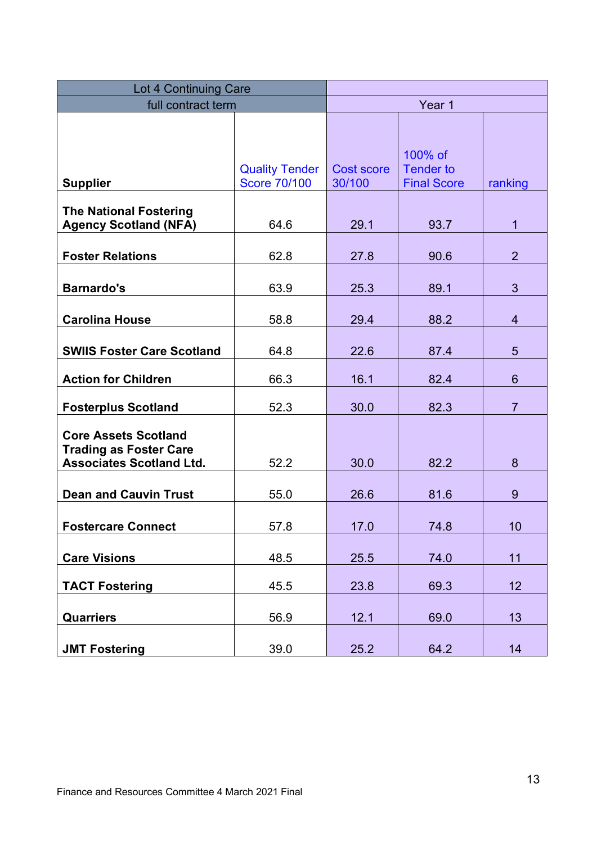| <b>Lot 4 Continuing Care</b>                                                                    |                                              |                             |                                                   |                |
|-------------------------------------------------------------------------------------------------|----------------------------------------------|-----------------------------|---------------------------------------------------|----------------|
| full contract term                                                                              | Year 1                                       |                             |                                                   |                |
| <b>Supplier</b>                                                                                 | <b>Quality Tender</b><br><b>Score 70/100</b> | <b>Cost score</b><br>30/100 | 100% of<br><b>Tender to</b><br><b>Final Score</b> | ranking        |
| <b>The National Fostering</b><br><b>Agency Scotland (NFA)</b>                                   | 64.6                                         | 29.1                        | 93.7                                              | $\mathbf{1}$   |
| <b>Foster Relations</b>                                                                         | 62.8                                         | 27.8                        | 90.6                                              | $\overline{2}$ |
| <b>Barnardo's</b>                                                                               | 63.9                                         | 25.3                        | 89.1                                              | 3              |
| <b>Carolina House</b>                                                                           | 58.8                                         | 29.4                        | 88.2                                              | $\overline{4}$ |
| <b>SWIIS Foster Care Scotland</b>                                                               | 64.8                                         | 22.6                        | 87.4                                              | 5              |
| <b>Action for Children</b>                                                                      | 66.3                                         | 16.1                        | 82.4                                              | $6\phantom{1}$ |
| <b>Fosterplus Scotland</b>                                                                      | 52.3                                         | 30.0                        | 82.3                                              | $\overline{7}$ |
| <b>Core Assets Scotland</b><br><b>Trading as Foster Care</b><br><b>Associates Scotland Ltd.</b> | 52.2                                         | 30.0                        | 82.2                                              | 8              |
| <b>Dean and Cauvin Trust</b>                                                                    | 55.0                                         | 26.6                        | 81.6                                              | 9              |
| <b>Fostercare Connect</b>                                                                       | 57.8                                         | 17.0                        | 74.8                                              | 10             |
| <b>Care Visions</b>                                                                             | 48.5                                         | 25.5                        | 74.0                                              | 11             |
| <b>TACT Fostering</b>                                                                           | 45.5                                         | 23.8                        | 69.3                                              | 12             |
| <b>Quarriers</b>                                                                                | 56.9                                         | 12.1                        | 69.0                                              | 13             |
| <b>JMT Fostering</b>                                                                            | 39.0                                         | 25.2                        | 64.2                                              | 14             |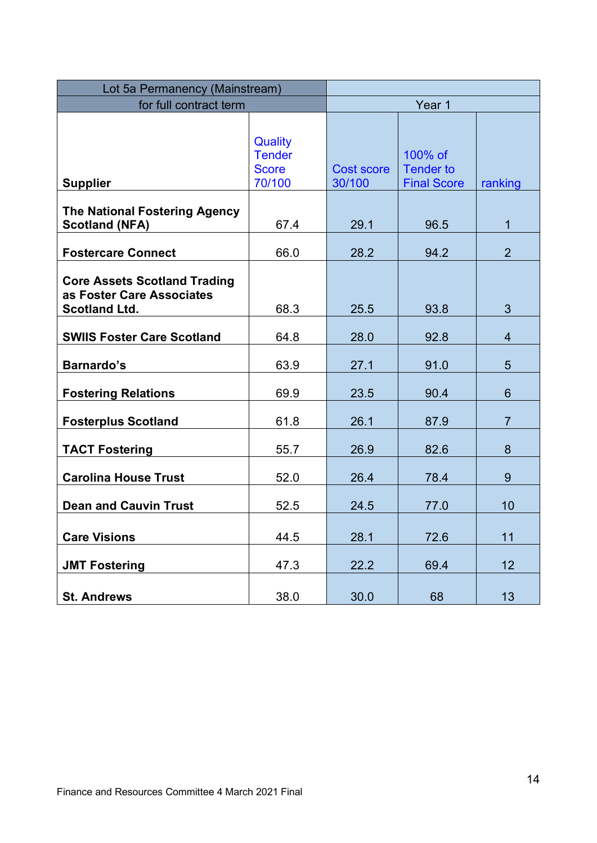| Lot 5a Permanency (Mainstream)                                                           |                                                    |                             |                                                   |                |
|------------------------------------------------------------------------------------------|----------------------------------------------------|-----------------------------|---------------------------------------------------|----------------|
| for full contract term                                                                   |                                                    | Year 1                      |                                                   |                |
| <b>Supplier</b>                                                                          | Quality<br><b>Tender</b><br><b>Score</b><br>70/100 | <b>Cost score</b><br>30/100 | 100% of<br><b>Tender to</b><br><b>Final Score</b> | ranking        |
| <b>The National Fostering Agency</b><br><b>Scotland (NFA)</b>                            | 67.4                                               | 29.1                        | 96.5                                              | 1              |
| <b>Fostercare Connect</b>                                                                | 66.0                                               | 28.2                        | 94.2                                              | $\overline{2}$ |
| <b>Core Assets Scotland Trading</b><br>as Foster Care Associates<br><b>Scotland Ltd.</b> | 68.3                                               | 25.5                        | 93.8                                              | 3              |
| <b>SWIIS Foster Care Scotland</b>                                                        | 64.8                                               | 28.0                        | 92.8                                              | $\overline{4}$ |
| <b>Barnardo's</b>                                                                        | 63.9                                               | 27.1                        | 91.0                                              | 5              |
| <b>Fostering Relations</b>                                                               | 69.9                                               | 23.5                        | 90.4                                              | 6              |
| <b>Fosterplus Scotland</b>                                                               | 61.8                                               | 26.1                        | 87.9                                              | $\overline{7}$ |
| <b>TACT Fostering</b>                                                                    | 55.7                                               | 26.9                        | 82.6                                              | 8              |
| <b>Carolina House Trust</b>                                                              | 52.0                                               | 26.4                        | 78.4                                              | 9              |
| <b>Dean and Cauvin Trust</b>                                                             | 52.5                                               | 24.5                        | 77.0                                              | 10             |
| <b>Care Visions</b>                                                                      | 44.5                                               | 28.1                        | 72.6                                              | 11             |
| <b>JMT Fostering</b>                                                                     | 47.3                                               | 22.2                        | 69.4                                              | 12             |
| <b>St. Andrews</b>                                                                       | 38.0                                               | 30.0                        | 68                                                | 13             |